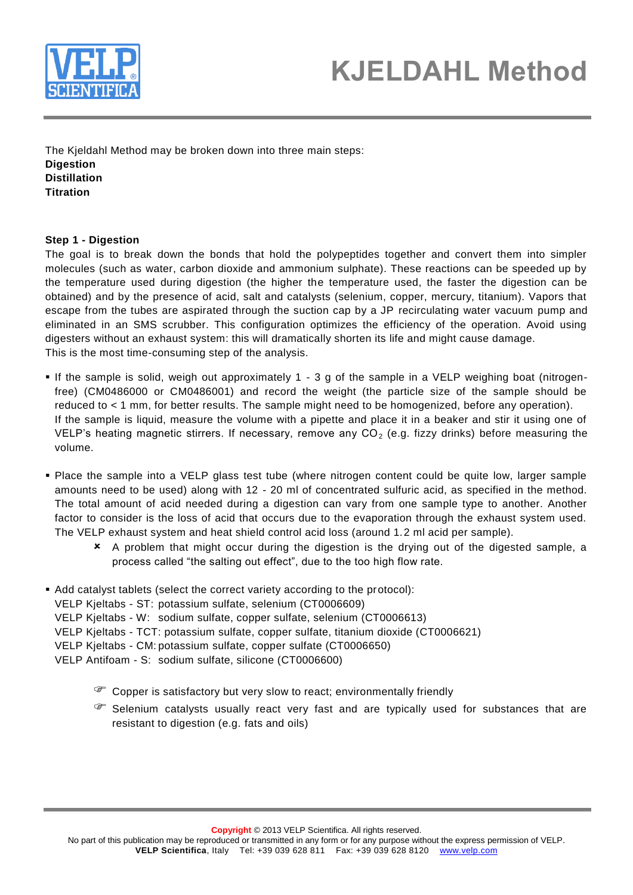

# **KJELDAHL Method**

The Kjeldahl Method may be broken down into three main steps: **Digestion Distillation Titration**

#### **Step 1 - Digestion**

The goal is to break down the bonds that hold the polypeptides together and convert them into simpler molecules (such as water, carbon dioxide and ammonium sulphate). These reactions can be speeded up by the temperature used during digestion (the higher the temperature used, the faster the digestion can be obtained) and by the presence of acid, salt and catalysts (selenium, copper, mercury, titanium). Vapors that escape from the tubes are aspirated through the suction cap by a JP recirculating water vacuum pump and eliminated in an SMS scrubber. This configuration optimizes the efficiency of the operation. Avoid using digesters without an exhaust system: this will dramatically shorten its life and might cause damage. This is the most time-consuming step of the analysis.

- If the sample is solid, weigh out approximately 1 3 g of the sample in a VELP weighing boat (nitrogenfree) (CM0486000 or CM0486001) and record the weight (the particle size of the sample should be reduced to < 1 mm, for better results. The sample might need to be homogenized, before any operation). If the sample is liquid, measure the volume with a pipette and place it in a beaker and stir it using one of VELP's heating magnetic stirrers. If necessary, remove any  $CO<sub>2</sub>$  (e.g. fizzy drinks) before measuring the volume.
- Place the sample into a VELP glass test tube (where nitrogen content could be quite low, larger sample amounts need to be used) along with 12 - 20 ml of concentrated sulfuric acid, as specified in the method. The total amount of acid needed during a digestion can vary from one sample type to another. Another factor to consider is the loss of acid that occurs due to the evaporation through the exhaust system used. The VELP exhaust system and heat shield control acid loss (around 1.2 ml acid per sample).
	- A problem that might occur during the digestion is the drying out of the digested sample, a process called "the salting out effect", due to the too high flow rate.
- Add catalyst tablets (select the correct variety according to the protocol):
- VELP Kjeltabs ST: potassium sulfate, selenium (CT0006609)
- VELP Kjeltabs W: sodium sulfate, copper sulfate, selenium (CT0006613)
- VELP Kjeltabs TCT: potassium sulfate, copper sulfate, titanium dioxide (CT0006621)
- VELP Kjeltabs CM: potassium sulfate, copper sulfate (CT0006650)
- VELP Antifoam S: sodium sulfate, silicone (CT0006600)
	- Copper is satisfactory but very slow to react; environmentally friendly
	- Selenium catalysts usually react very fast and are typically used for substances that are resistant to digestion (e.g. fats and oils)

**Copyright** © 2013 VELP Scientifica. All rights reserved.

No part of this publication may be reproduced or transmitted in any form or for any purpose without the express permission of VELP. **VELP Scientifica**, Italy Tel: +39 039 628 811 Fax: +39 039 628 8120 www.velp.com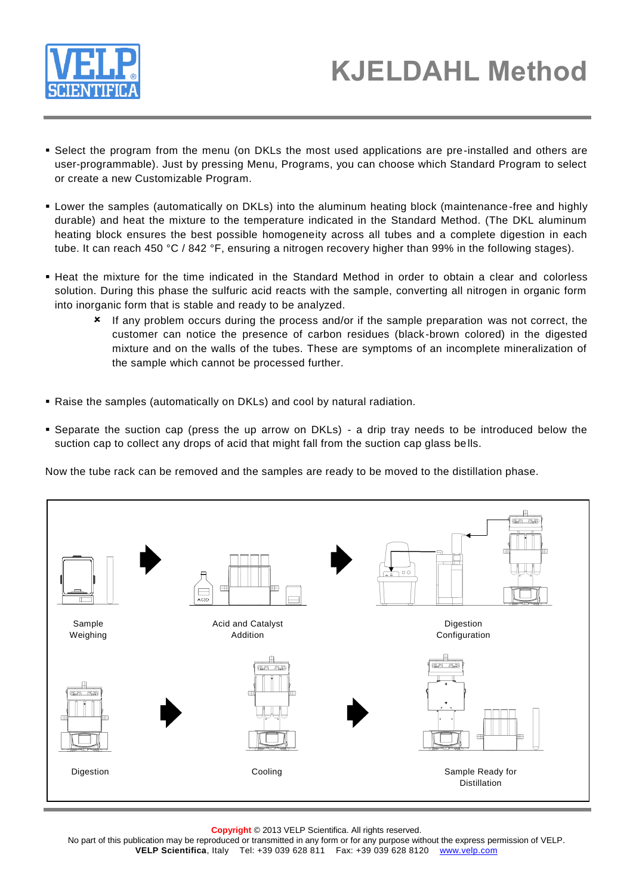

- Select the program from the menu (on DKLs the most used applications are pre-installed and others are user-programmable). Just by pressing Menu, Programs, you can choose which Standard Program to select or create a new Customizable Program.
- Lower the samples (automatically on DKLs) into the aluminum heating block (maintenance-free and highly durable) and heat the mixture to the temperature indicated in the Standard Method. (The DKL aluminum heating block ensures the best possible homogeneity across all tubes and a complete digestion in each tube. It can reach 450 °C / 842 °F, ensuring a nitrogen recovery higher than 99% in the following stages).
- Heat the mixture for the time indicated in the Standard Method in order to obtain a clear and colorless solution. During this phase the sulfuric acid reacts with the sample, converting all nitrogen in organic form into inorganic form that is stable and ready to be analyzed.
	- If any problem occurs during the process and/or if the sample preparation was not correct, the customer can notice the presence of carbon residues (black-brown colored) in the digested mixture and on the walls of the tubes. These are symptoms of an incomplete mineralization of the sample which cannot be processed further.
- Raise the samples (automatically on DKLs) and cool by natural radiation.
- Separate the suction cap (press the up arrow on DKLs) a drip tray needs to be introduced below the suction cap to collect any drops of acid that might fall from the suction cap glass bells.

Now the tube rack can be removed and the samples are ready to be moved to the distillation phase.



**Copyright** © 2013 VELP Scientifica. All rights reserved.

No part of this publication may be reproduced or transmitted in any form or for any purpose without the express permission of VELP. **VELP Scientifica**, Italy Tel: +39 039 628 811 Fax: +39 039 628 8120 www.velp.com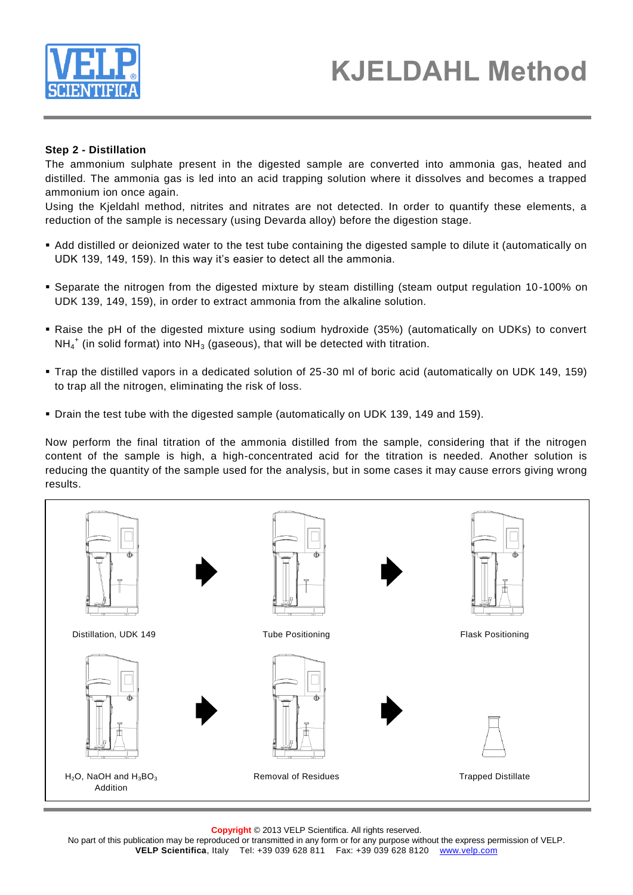

### **KJELDAHL Method**

#### **Step 2 - Distillation**

The ammonium sulphate present in the digested sample are converted into ammonia gas, heated and distilled. The ammonia gas is led into an acid trapping solution where it dissolves and becomes a trapped ammonium ion once again.

Using the Kjeldahl method, nitrites and nitrates are not detected. In order to quantify these elements, a reduction of the sample is necessary (using Devarda alloy) before the digestion stage.

- Add distilled or deionized water to the test tube containing the digested sample to dilute it (automatically on UDK 139, 149, 159). In this way it's easier to detect all the ammonia.
- Separate the nitrogen from the digested mixture by steam distilling (steam output regulation 10-100% on UDK 139, 149, 159), in order to extract ammonia from the alkaline solution.
- Raise the pH of the digested mixture using sodium hydroxide (35%) (automatically on UDKs) to convert  $NH_4^+$  (in solid format) into NH<sub>3</sub> (gaseous), that will be detected with titration.
- Trap the distilled vapors in a dedicated solution of 25-30 ml of boric acid (automatically on UDK 149, 159) to trap all the nitrogen, eliminating the risk of loss.
- Drain the test tube with the digested sample (automatically on UDK 139, 149 and 159).

Now perform the final titration of the ammonia distilled from the sample, considering that if the nitrogen content of the sample is high, a high-concentrated acid for the titration is needed. Another solution is reducing the quantity of the sample used for the analysis, but in some cases it may cause errors giving wrong results.



**Copyright** © 2013 VELP Scientifica. All rights reserved.

No part of this publication may be reproduced or transmitted in any form or for any purpose without the express permission of VELP. **VELP Scientifica**, Italy Tel: +39 039 628 811 Fax: +39 039 628 8120 www.velp.com